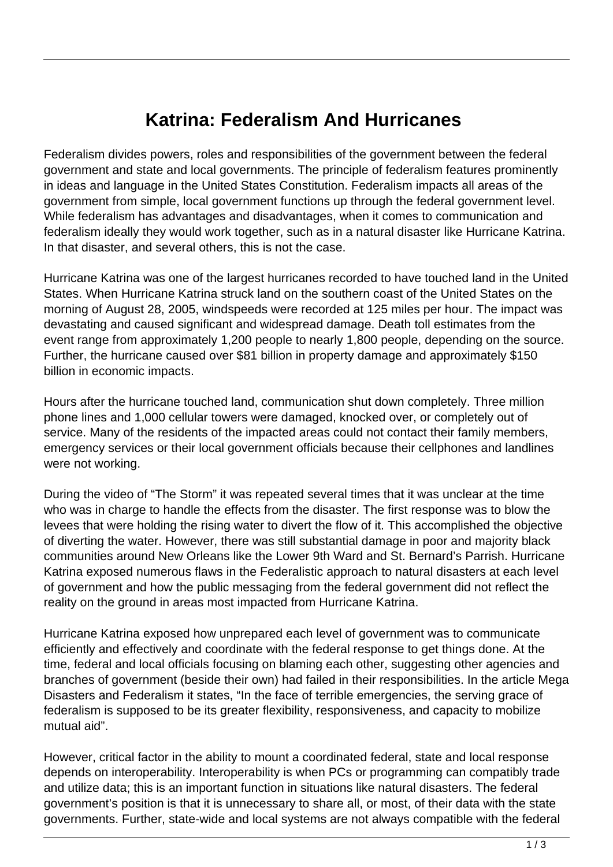## **Katrina: Federalism And Hurricanes**

Federalism divides powers, roles and responsibilities of the government between the federal government and state and local governments. The principle of federalism features prominently in ideas and language in the United States Constitution. Federalism impacts all areas of the government from simple, local government functions up through the federal government level. While federalism has advantages and disadvantages, when it comes to communication and federalism ideally they would work together, such as in a natural disaster like Hurricane Katrina. In that disaster, and several others, this is not the case.

Hurricane Katrina was one of the largest hurricanes recorded to have touched land in the United States. When Hurricane Katrina struck land on the southern coast of the United States on the morning of August 28, 2005, windspeeds were recorded at 125 miles per hour. The impact was devastating and caused significant and widespread damage. Death toll estimates from the event range from approximately 1,200 people to nearly 1,800 people, depending on the source. Further, the hurricane caused over \$81 billion in property damage and approximately \$150 billion in economic impacts.

Hours after the hurricane touched land, communication shut down completely. Three million phone lines and 1,000 cellular towers were damaged, knocked over, or completely out of service. Many of the residents of the impacted areas could not contact their family members, emergency services or their local government officials because their cellphones and landlines were not working.

During the video of "The Storm" it was repeated several times that it was unclear at the time who was in charge to handle the effects from the disaster. The first response was to blow the levees that were holding the rising water to divert the flow of it. This accomplished the objective of diverting the water. However, there was still substantial damage in poor and majority black communities around New Orleans like the Lower 9th Ward and St. Bernard's Parrish. Hurricane Katrina exposed numerous flaws in the Federalistic approach to natural disasters at each level of government and how the public messaging from the federal government did not reflect the reality on the ground in areas most impacted from Hurricane Katrina.

Hurricane Katrina exposed how unprepared each level of government was to communicate efficiently and effectively and coordinate with the federal response to get things done. At the time, federal and local officials focusing on blaming each other, suggesting other agencies and branches of government (beside their own) had failed in their responsibilities. In the article Mega Disasters and Federalism it states, "In the face of terrible emergencies, the serving grace of federalism is supposed to be its greater flexibility, responsiveness, and capacity to mobilize mutual aid".

However, critical factor in the ability to mount a coordinated federal, state and local response depends on interoperability. Interoperability is when PCs or programming can compatibly trade and utilize data; this is an important function in situations like natural disasters. The federal government's position is that it is unnecessary to share all, or most, of their data with the state governments. Further, state-wide and local systems are not always compatible with the federal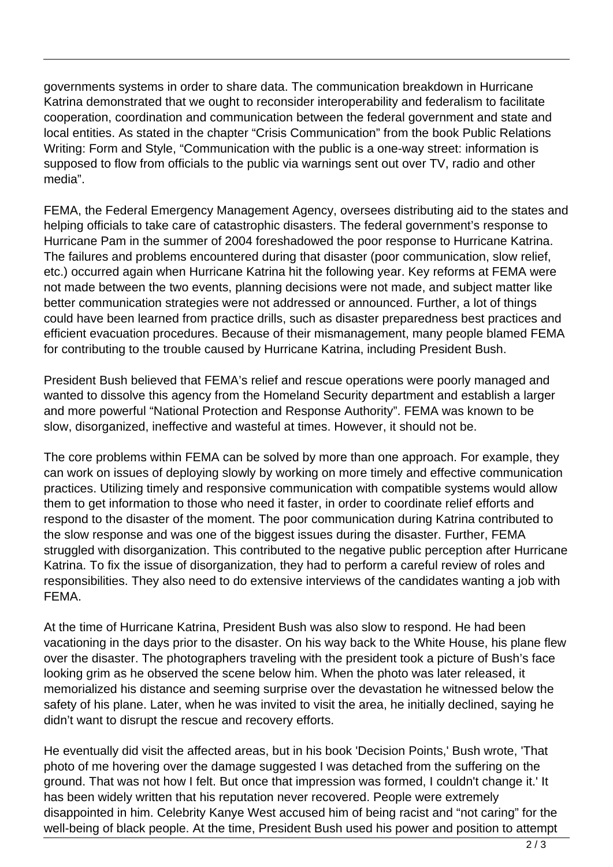governments systems in order to share data. The communication breakdown in Hurricane Katrina demonstrated that we ought to reconsider interoperability and federalism to facilitate cooperation, coordination and communication between the federal government and state and local entities. As stated in the chapter "Crisis Communication" from the book Public Relations Writing: Form and Style, "Communication with the public is a one-way street: information is supposed to flow from officials to the public via warnings sent out over TV, radio and other media".

FEMA, the Federal Emergency Management Agency, oversees distributing aid to the states and helping officials to take care of catastrophic disasters. The federal government's response to Hurricane Pam in the summer of 2004 foreshadowed the poor response to Hurricane Katrina. The failures and problems encountered during that disaster (poor communication, slow relief, etc.) occurred again when Hurricane Katrina hit the following year. Key reforms at FEMA were not made between the two events, planning decisions were not made, and subject matter like better communication strategies were not addressed or announced. Further, a lot of things could have been learned from practice drills, such as disaster preparedness best practices and efficient evacuation procedures. Because of their mismanagement, many people blamed FEMA for contributing to the trouble caused by Hurricane Katrina, including President Bush.

President Bush believed that FEMA's relief and rescue operations were poorly managed and wanted to dissolve this agency from the Homeland Security department and establish a larger and more powerful "National Protection and Response Authority". FEMA was known to be slow, disorganized, ineffective and wasteful at times. However, it should not be.

The core problems within FEMA can be solved by more than one approach. For example, they can work on issues of deploying slowly by working on more timely and effective communication practices. Utilizing timely and responsive communication with compatible systems would allow them to get information to those who need it faster, in order to coordinate relief efforts and respond to the disaster of the moment. The poor communication during Katrina contributed to the slow response and was one of the biggest issues during the disaster. Further, FEMA struggled with disorganization. This contributed to the negative public perception after Hurricane Katrina. To fix the issue of disorganization, they had to perform a careful review of roles and responsibilities. They also need to do extensive interviews of the candidates wanting a job with FEMA.

At the time of Hurricane Katrina, President Bush was also slow to respond. He had been vacationing in the days prior to the disaster. On his way back to the White House, his plane flew over the disaster. The photographers traveling with the president took a picture of Bush's face looking grim as he observed the scene below him. When the photo was later released, it memorialized his distance and seeming surprise over the devastation he witnessed below the safety of his plane. Later, when he was invited to visit the area, he initially declined, saying he didn't want to disrupt the rescue and recovery efforts.

He eventually did visit the affected areas, but in his book 'Decision Points,' Bush wrote, 'That photo of me hovering over the damage suggested I was detached from the suffering on the ground. That was not how I felt. But once that impression was formed, I couldn't change it.' It has been widely written that his reputation never recovered. People were extremely disappointed in him. Celebrity Kanye West accused him of being racist and "not caring" for the well-being of black people. At the time, President Bush used his power and position to attempt